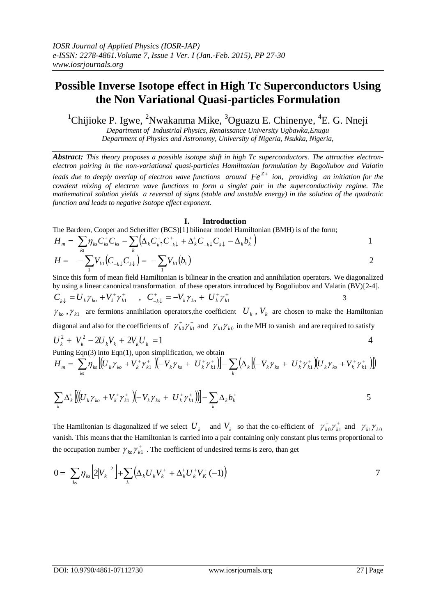## **Possible Inverse Isotope effect in High Tc Superconductors Using the Non Variational Quasi-particles Formulation**

<sup>1</sup>Chijioke P. Igwe, <sup>2</sup>Nwakanma Mike, <sup>3</sup>Oguazu E. Chinenye, <sup>4</sup>E. G. Nneji

*Department of Industrial Physics, Renaissance University Ugbawka,Enugu*

*Department of Physics and Astronomy, University of Nigeria, Nsukka, Nigeria,*

*Abstract: This theory proposes a possible isotope shift in high Tc superconductors. The attractive electronelectron pairing in the non-variational quasi-particles Hamiltonian formulation by Bogoliubov and Valatin leads due to deeply overlap of electron wave functions around*  $Fe^{Z+}$  *ion, providing an initiation for the covalent mixing of electron wave functions to form a singlet pair in the superconductivity regime. The mathematical solution yields a reversal of signs (stable and unstable energy) in the solution of the quadratic function and leads to negative isotope effect exponent.* 

## **I. Introduction**

The Bardeen, Cooper and Scheriffer (BCS)[1] bilinear model Hamiltonian (BMH) is of the form;

$$
H_m = \sum_{k_S} \eta_{k_S} C_{k_S}^+ C_{k_S} - \sum_k \left( \Delta_k C_{k\uparrow}^+ C_{-k\downarrow}^+ + \Delta_k^+ C_{-k\downarrow} C_{k\downarrow} - \Delta_k b_k^+ \right)
$$
  
\n
$$
H = -\sum_{i} V_{k1} (C_{-k\downarrow} C_{k\downarrow}) = -\sum_{i} V_{k1} (b_i)
$$

Since this form of mean field Hamiltonian is bilinear in the creation and annihilation operators. We diagonalized by using a linear canonical transformation of these operators introduced by Bogoliubov and Valatin (BV)[2-4].  $+$  -  $V \sim I^{t+} t^{t}$  $+\lambda$ 

 $-k\downarrow$  $C_{k\downarrow} = U_k \gamma_{k0} + V_k^+ \gamma_{k1}^+$ ,  $C_{-k\downarrow}^+ = -V_k \gamma_{k0} + U_k^+ \gamma_{k1}^+$  $\gamma_{k_0}$ ,  $\gamma_{k_1}$  are fermions annihilation operators, the coefficient  $U_k$ ,  $V_k$  are chosen to make the Hamiltonian diagonal and also for the coefficients of  $\gamma_{k0}^+ \gamma_k^+$  $\gamma_{k0}^{\dagger} \gamma_{k1}^{\dagger}$  and  $\gamma_{k1} \gamma_{k0}$  in the MH to vanish and are required to satisfy

$$
U_k^2 + V_k^2 - 2U_k V_k + 2V_k U_k = 1
$$
4  
Putting Eqs(2) into Eqs(1) upon simplification, we obtain

Putting Eqn(3) into Eqn(1), upon simplification, we obtain

$$
H_m = \sum_{ks} \eta_{ks} \left[ (U_k \gamma_{k0} + V_k^+ \gamma_{k1}^+ \left( -V_k \gamma_{k0} + U_k^+ \gamma_{k1}^+ \right) \right] - \sum_k \left( \Delta_k \left[ (-V_k \gamma_{k0} + U_k^+ \gamma_{k1}^+ \left( U_k \gamma_{k0} + V_k^+ \gamma_{k1}^+ \right) \right] \right)
$$

$$
\sum_{k} \Delta_{k}^{+} \left[ \left( \left( U_{k} \gamma_{k0} + V_{k}^{+} \gamma_{k1}^{+} \right) \left( -V_{k} \gamma_{k0} + U_{k}^{+} \gamma_{k1}^{+} \right) \right) \right] - \sum_{k} \Delta_{k} b_{k}^{+}
$$

The Hamiltonian is diagonalized if we select  $U_k$  and  $V_k$  so that the co-efficient of  $\gamma_{k0}^+ \gamma_k^+$  $\gamma_{k0}^{\dagger} \gamma_{k1}^{\dagger}$  and  $\gamma_{k1} \gamma_{k0}$ vanish. This means that the Hamiltonian is carried into a pair containing only constant plus terms proportional to the occupation number  $\gamma_{k_0}\gamma_{k_1}^+$  $\gamma_{k_0} \gamma_{k_1}^+$ . The coefficient of undesired terms is zero, than get

$$
0 = \sum_{k} \eta_{ks} \left[ 2|V_k|^2 \right] + \sum_{k} \left( \Delta_k U_k V_k^+ + \Delta_k^+ U_k^+ V_k^+ (-1) \right)
$$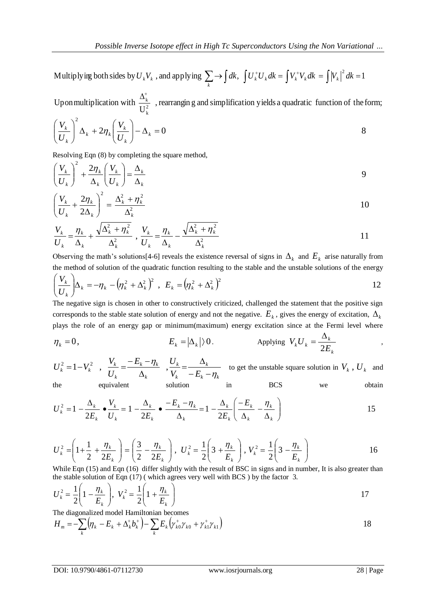Multiplying both sides by  $U_k V_k$ , and applying  $\sum_k \rightarrow \int dk$ ,  $\int U_k^+ U_k dk = \int V_k^+ V_k dk = \int |V_k|^2 dk = 1$  $k^r k$ , and applying  $\sum$  /  $\left\lfloor \frac{u}{k} \right\rfloor$  /  $\left\lfloor \frac{u}{k} \right\rfloor$ 

, rearrangin g and simplification yields a quadratic function of the form; U Upon multiplication with  $\frac{-k}{\sqrt{12}}$ k k  $\overline{\Delta}^*_k$ 

$$
\left(\frac{V_k}{U_k}\right)^2 \Delta_k + 2\eta_k \left(\frac{V_k}{U_k}\right) - \Delta_k = 0
$$

Resolving Eqn (8) by completing the square method,

$$
\left(\frac{V_k}{U_k}\right)^2 + \frac{2\eta_k}{\Delta_k} \left(\frac{V_k}{U_k}\right) = \frac{\Delta_k}{\Delta_k}
$$

$$
\left(\frac{V_k}{U_k} + \frac{2\eta_k}{2\Delta_k}\right)^2 = \frac{\Delta_k^2 + \eta_k^2}{\Delta_k^2}
$$

$$
\frac{V_k}{U_k} = \frac{\eta_k}{\Delta_k} + \frac{\sqrt{\Delta_k^2 + \eta_k^2}}{\Delta_k^2}, \quad \frac{V_k}{U_k} = \frac{\eta_k}{\Delta_k} - \frac{\sqrt{\Delta_k^2 + \eta_k^2}}{\Delta_k^2}
$$

Observing the math's solutions[4-6] reveals the existence reversal of signs in  $\Delta_k$  and  $E_k$  arise naturally from the method of solution of the quadratic function resulting to the stable and the unstable solutions of the energy

$$
\left(\frac{V_k}{U_k}\right)\Delta_k = -\eta_k - \left(\eta_k^2 + \Delta_k^2\right)^2, \quad E_k = \left(\eta_k^2 + \Delta_k^2\right)^2
$$

The negative sign is chosen in other to constructively criticized, challenged the statement that the positive sign corresponds to the stable state solution of energy and not the negative.  $E_k$ , gives the energy of excitation,  $\Delta_k$ plays the role of an energy gap or minimum(maximum) energy excitation since at the Fermi level where

$$
\eta_k = 0, \qquad E_k = |\Delta_k| \rangle 0. \qquad \text{Applying } V_k U_k = \frac{\Delta_k}{2E_k} \qquad ,
$$

$$
U_k^2 = 1 - V_k^2, \quad \frac{V_k}{U_k} = \frac{-E_k - \eta_k}{\Delta_k}, \quad \frac{U_k}{V_k} = \frac{\Delta_k}{-E_k - \eta_k}
$$
to get the unstable square solution in  $V_k$ ,  $U_k$  and  
the equivalent solution in BCS we obtain

$$
U_k^2 = 1 - \frac{\Delta_k}{2E_k} \bullet \frac{V_k}{U_k} = 1 - \frac{\Delta_k}{2E_k} \bullet \frac{-E_k - \eta_k}{\Delta_k} = 1 - \frac{\Delta_k}{2E_k} \left( \frac{-E_k}{\Delta_k} - \frac{\eta_k}{\Delta_k} \right)
$$

$$
U_k^2 = \left(1 + \frac{1}{2} + \frac{\eta_k}{2E_k}\right) = \left(\frac{3}{2} - \frac{\eta_k}{2E_k}\right), \ U_k^2 = \frac{1}{2}\left(3 + \frac{\eta_k}{E_k}\right), \ V_k^2 = \frac{1}{2}\left(3 - \frac{\eta_k}{E_k}\right)
$$

While Eqn (15) and Eqn (16) differ slightly with the result of BSC in signs and in number, It is also greater than the stable solution of Eqn (17) ( which agrees very well with BCS ) by the factor 3.

$$
U_k^2 = \frac{1}{2} \left( 1 - \frac{\eta_k}{E_k} \right), \ V_k^2 = \frac{1}{2} \left( 1 + \frac{\eta_k}{E_k} \right)
$$

The diagonalized model Hamiltonian becomes  
\n
$$
H_m = -\sum_{k} \left( \eta_k - E_k + \Delta_k^* b_k^* \right) - \sum_{k} E_k \left( \gamma_{k0}^* \gamma_{k0} + \gamma_{k1}^* \gamma_{k1} \right)
$$
\n18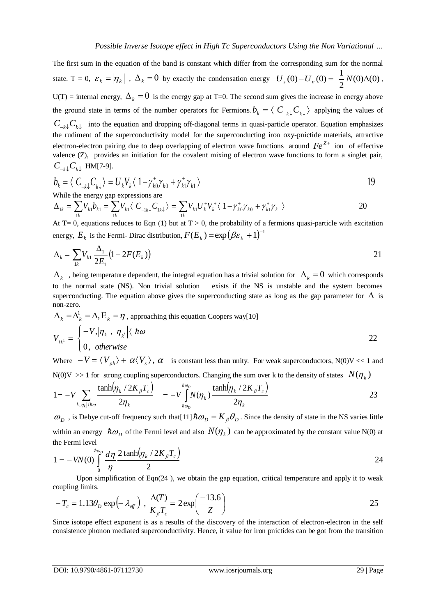The first sum in the equation of the band is constant which differ from the corresponding sum for the normal state. T = 0,  $\varepsilon_k = |\eta_k|$ ,  $\Delta_k = 0$  by exactly the condensation energy  $U_s(0) - U_n(0) = \frac{1}{2}N(0)\Delta(0)$ 2  $U_s(0) - U_n(0) = \frac{1}{2}N(0)\Delta(0),$  $U(T)$  = internal energy,  $\Delta_k = 0$  is the energy gap at T=0. The second sum gives the increase in energy above the ground state in terms of the number operators for Fermions.  $b_k = \langle C_{-k} C_k \rangle$  applying the values of  $C_{-k}C_{k}$  into the equation and dropping off-diagonal terms in quasi-particle operator. Equation emphasizes the rudiment of the superconductivity model for the superconducting iron oxy-pnictide materials, attractive electron-electron pairing due to deep overlapping of electron wave functions around  $Fe^{Z+}$  ion of effective valence (Z), provides an initiation for the covalent mixing of electron wave functions to form a singlet pair,  $C_{-k}$ <sub>*C*</sub><sup>*k*</sup><sub>*k*</sub><sup>*k*</sup> HM[7-9].

$$
b_k = \langle C_{-k\downarrow} C_{k\downarrow} \rangle = U_k V_k \langle 1 - \gamma_{k0}^* \gamma_{k0} + \gamma_{k1}^* \gamma_{k1} \rangle
$$
  
While the energy gap expressions are

$$
\Delta_{1k} = \sum_{1k} V_{k1} b_{k1} = \sum_{1k} V_{k1} \langle C_{-1k\downarrow} C_{1k\downarrow} \rangle = \sum_{1k} V_{k1} U_{k}^{+} V_{k}^{+} \langle 1 - \gamma_{k0}^{+} \gamma_{k0} + \gamma_{k1}^{+} \gamma_{k1} \rangle
$$

 $\sum_{1k}$ <sup>v</sup> k1 \  $\sum_{-1k}$  \  $\sum_{1k}$  \  $\sum_{1k}$  /  $\sum_{1k}$  v k1 1 *k* At T= 0, equations reduces to Eqn (1) but at  $T > 0$ , the probability of a fermions quasi-particle with excitation energy,  $E_k$  is the Fermi- Dirac distribution,  $F(E_k) = \exp\left(\beta \varepsilon_k + 1\right)^{-1}$ 

$$
\Delta_k = \sum_{1k} V_{k1} \frac{\Delta_1}{2E_1} (1 - 2F(E_k))
$$

 $\Delta_k$ , being temperature dependent, the integral equation has a trivial solution for  $\Delta_k = 0$  which corresponds to the normal state (NS). Non trivial solution exists if the NS is unstable and the system becomes superconducting. The equation above gives the superconducting state as long as the gap parameter for  $\Delta$  is non-zero.

$$
\Delta_k = \Delta_k^l = \Delta, E_k = \eta
$$
, approaching this equation Cooper's way[10]  

$$
V_{kk^l} = \begin{cases} -V, |\eta_k|, |\eta_{k^l}| \langle \hbar \omega \\ 0, \hbar \omega \end{cases}
$$
22

Where  $-V = \langle V_{ph} \rangle + \alpha \langle V_s \rangle$ ,  $\alpha$  is constant less than unity. For weak superconductors, N(0)V << 1 and N(0)V >> 1 for strong coupling superconductors. Changing the sum over k to the density of states  $N(\eta_k)$ 

$$
1 = -V \sum_{k,\eta_k|\langle\hbar\omega\rangle} \frac{\tanh(\eta_k/2K_{\beta}T_c)}{2\eta_k} = -V \int_{\hbar\omega_D}^{\hbar\omega_D} N(\eta_k) \frac{\tanh(\eta_k/2K_{\beta}T_c)}{2\eta_k}
$$

 $\omega_D$ , is Debye cut-off frequency such that [11]  $\hbar \omega_D = K_{\beta} \theta_D$ . Since the density of state in the NS varies little within an energy  $\hbar \omega_D$  of the Fermi level and also  $N(\eta_k)$  can be approximated by the constant value N(0) at the Fermi level

$$
1 = -VN(0) \int_{0}^{\hbar \omega_D} \frac{d\eta}{\eta} \frac{2 \tanh(\eta_k / 2K_{\beta}T_c)}{2}
$$

Upon simplification of  $Eqn(24)$ , we obtain the gap equation, critical temperature and apply it to weak coupling limits.

$$
-T_c = 1.13\theta_D \exp\left(-\lambda_{\text{eff}}\right), \frac{\Delta(T)}{K_{\beta}T_c} = 2\exp\left(\frac{-13.6}{Z}\right)
$$

Since isotope effect exponent is as a results of the discovery of the interaction of electron-electron in the self consistence phonon mediated superconductivity. Hence, it value for iron pnictides can be got from the transition